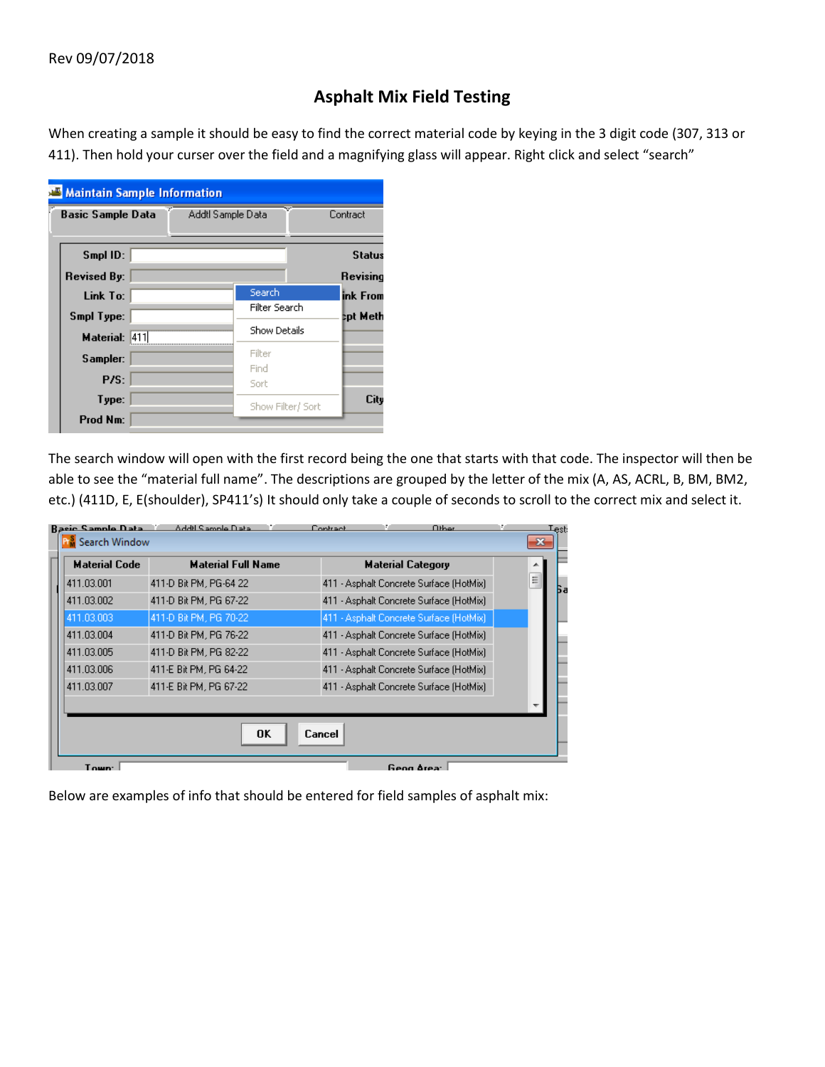## **Asphalt Mix Field Testing**

When creating a sample it should be easy to find the correct material code by keying in the 3 digit code (307, 313 or 411). Then hold your curser over the field and a magnifying glass will appear. Right click and select "search"

| <b>Maintain Sample Information</b>            |                     |               |  |  |  |  |
|-----------------------------------------------|---------------------|---------------|--|--|--|--|
| Addtl Sample Data<br><b>Basic Sample Data</b> |                     | Contract      |  |  |  |  |
|                                               |                     |               |  |  |  |  |
| Smpl ID:                                      |                     | <b>Status</b> |  |  |  |  |
| <b>Revised By:</b>                            |                     | Revising      |  |  |  |  |
| Link To:                                      | Search              | ink From      |  |  |  |  |
| Smpl Type:                                    | Filter Search       | tpt Meth      |  |  |  |  |
| Material: 411                                 | <b>Show Details</b> |               |  |  |  |  |
| Sampler:                                      | Filter              |               |  |  |  |  |
|                                               | Find                |               |  |  |  |  |
| P/S:                                          | Sort                |               |  |  |  |  |
| Type:                                         | Show Filter/ Sort   | City          |  |  |  |  |
| Prod Nm:                                      |                     |               |  |  |  |  |

The search window will open with the first record being the one that starts with that code. The inspector will then be able to see the "material full name". The descriptions are grouped by the letter of the mix (A, AS, ACRL, B, BM, BM2, etc.) (411D, E, E(shoulder), SP411's) It should only take a couple of seconds to scroll to the correct mix and select it.

| <b>Rasic Sample Data</b> | Addil Sample Data         | Contract |                          | Other                                   | Lest:   |
|--------------------------|---------------------------|----------|--------------------------|-----------------------------------------|---------|
| <b>Search Window</b>     |                           |          |                          |                                         | $-23$   |
| <b>Material Code</b>     | <b>Material Full Name</b> |          | <b>Material Category</b> |                                         |         |
| 411.03.001               | 411-D Bit PM, PG-64 22    |          |                          | 411 - Asphalt Concrete Surface (HotMix) | ≣<br>Бa |
| 411.03.002               | 411-D Bit PM, PG 67-22    |          |                          | 411 - Asphalt Concrete Surface (HotMix) |         |
| 411.03.003               | 411-D Bit PM, PG 70-22    |          |                          | 411 - Asphalt Concrete Surface (HotMix) |         |
| 411.03.004               | 411-D Bit PM, PG 76-22    |          |                          | 411 - Asphalt Concrete Surface (HotMix) |         |
| 411.03.005               | 411-D Bit PM, PG 82-22    |          |                          | 411 - Asphalt Concrete Surface (HotMix) |         |
| 411.03.006               | 411-E Bit PM, PG 64-22    |          |                          | 411 - Asphalt Concrete Surface (HotMix) |         |
| 411.03.007               | 411-E Bit PM, PG 67-22    |          |                          | 411 - Asphalt Concrete Surface (HotMix) |         |
|                          |                           |          |                          |                                         |         |
|                          |                           |          |                          |                                         |         |
|                          | OK                        | Cancel   |                          |                                         |         |
|                          |                           |          |                          |                                         |         |
| Town:                    |                           |          | Geog Area:               |                                         |         |

Below are examples of info that should be entered for field samples of asphalt mix: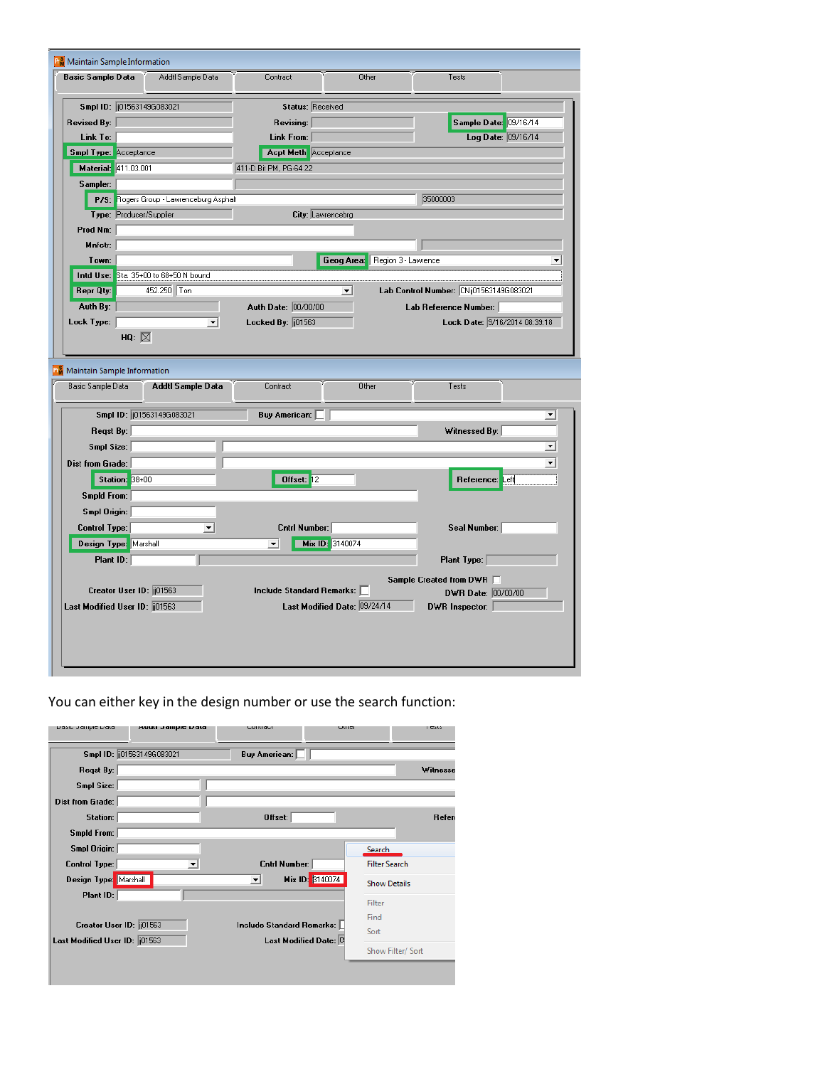| Basic Sample Data                                         |                 |                          | Addtl Sample Data                        |                      | Contract                    |                              | Other |                     | Tests                                   |                               |
|-----------------------------------------------------------|-----------------|--------------------------|------------------------------------------|----------------------|-----------------------------|------------------------------|-------|---------------------|-----------------------------------------|-------------------------------|
| Smpl ID: 01563149G083021                                  |                 |                          |                                          |                      |                             | <b>Status: Received</b>      |       |                     |                                         |                               |
| Revised By: $\parallel$                                   |                 |                          |                                          |                      | Revising:                   |                              |       |                     |                                         | Sample Date: 09/16/14         |
| Link To:                                                  |                 |                          |                                          |                      | Link From:                  |                              |       |                     |                                         | Log Date: 09/16/14            |
| <b>Smpl Type:</b> Acceptance                              |                 |                          |                                          |                      | <b>Acpt Meth</b> Acceptance |                              |       |                     |                                         |                               |
| Material: 411.03.001                                      |                 |                          |                                          |                      | 411-D Bit PM, PG-64 22      |                              |       |                     |                                         |                               |
| Sampler:                                                  |                 |                          |                                          |                      |                             |                              |       |                     |                                         |                               |
|                                                           |                 |                          | P/S: Rogers Group - Lawrenceburg Asphalt |                      |                             |                              |       |                     | 35000003                                |                               |
| Type: Producer/Supplier                                   |                 |                          |                                          |                      |                             | City: Lawrencebrg            |       |                     |                                         |                               |
| Prod Nm:                                                  |                 |                          |                                          |                      |                             |                              |       |                     |                                         |                               |
| Mnfctr:                                                   |                 |                          |                                          |                      |                             |                              |       |                     |                                         |                               |
| Town:                                                     |                 |                          |                                          |                      |                             | Geog Area:                   |       | Region 3 - Lawrence |                                         |                               |
| Intd Use: Sta. 35+00 to 68+50 N bound                     |                 |                          |                                          |                      |                             |                              |       |                     |                                         |                               |
| <b>Repr Qty:</b>                                          |                 | 452.250 Ton              |                                          |                      |                             | $\vert$                      |       |                     | Lab Control Number: CNij01563149G083021 |                               |
| Auth By:                                                  |                 |                          |                                          |                      | Auth Date: 00/00/00         |                              |       |                     | Lab Reference Number:                   |                               |
|                                                           | HQ: $\boxtimes$ |                          | ▾                                        | Locked By: $  01563$ |                             |                              |       |                     |                                         | Lock Date: 9/16/2014 08:39:18 |
|                                                           |                 |                          | Addtl Sample Data                        |                      | Contract                    |                              | Other |                     | Tests                                   |                               |
| <b>N</b> Maintain Sample Information<br>Basic Sample Data |                 | Smpl ID: 01563149G083021 |                                          |                      | Buy American:               |                              |       |                     |                                         | ▼                             |
| Regst By:                                                 |                 |                          |                                          |                      |                             |                              |       |                     | Witnessed By:                           |                               |
| Smpl Size:                                                |                 |                          |                                          |                      |                             |                              |       |                     |                                         | $\blacktriangledown$          |
| Dist from Grade:                                          |                 |                          |                                          |                      |                             |                              |       |                     |                                         | $\blacktriangledown$          |
|                                                           | Station: 38+00  |                          |                                          |                      | Offset: 12                  |                              |       |                     | Reference: Left                         |                               |
| <b>Smpld From:</b>                                        |                 |                          |                                          |                      |                             |                              |       |                     |                                         |                               |
| Smpl Origin:                                              |                 |                          |                                          |                      |                             |                              |       |                     |                                         |                               |
| Control Type:                                             |                 |                          | $\overline{\mathbf{v}}$                  |                      | <b>Cntrl Number:</b>        |                              |       |                     | Seal Number:                            |                               |
| Design Type: Marshall                                     |                 |                          |                                          |                      | $\vert \cdot \vert$         | Mix ID: 3140074              |       |                     |                                         |                               |
| Plant ID:                                                 |                 |                          |                                          |                      |                             |                              |       |                     | Plant Type:                             |                               |
|                                                           |                 |                          |                                          |                      |                             |                              |       |                     | Sample Created from DWR                 |                               |
| Creator User ID: 001563                                   |                 |                          |                                          |                      | Include Standard Remarks:   |                              |       |                     | DWR Date: 00/00/00                      |                               |
| Last Modified User ID: [01563]                            |                 |                          |                                          |                      |                             | Last Modified Date: 09/24/14 |       |                     | DWR Inspector:                          |                               |
|                                                           |                 |                          |                                          |                      |                             |                              |       |                     |                                         |                               |

You can either key in the design number or use the search function:

| nasir nailihic nara            | waan namme wara           | contract                  | wurdi           | 1000                 |
|--------------------------------|---------------------------|---------------------------|-----------------|----------------------|
|                                | Smpl ID: (01563149G083021 | Buy American: [           |                 |                      |
| Regst By:                      |                           |                           |                 | Witnesse             |
| Smpl Size:                     |                           |                           |                 |                      |
| Dist from Grade:               |                           |                           |                 |                      |
| Station:                       |                           | Offset:                   |                 | Refere               |
| Smpld From:                    |                           |                           |                 |                      |
| Smpl Origin:                   |                           |                           | Search          |                      |
| <b>Control Type:</b>           | ▼                         | <b>Cntrl Number:</b>      |                 | <b>Filter Search</b> |
| Design Type: Marshall          |                           | ▼                         | Mix ID: 3140074 | <b>Show Details</b>  |
| Plant ID:                      |                           |                           | Filter          |                      |
|                                |                           | Include Standard Remarks: | Find            |                      |
| Creator User ID: 01563         |                           |                           | Sort            |                      |
| Last Modified User ID: [[01563 |                           | Last Modified Date: 0     |                 | Show Filter/ Sort    |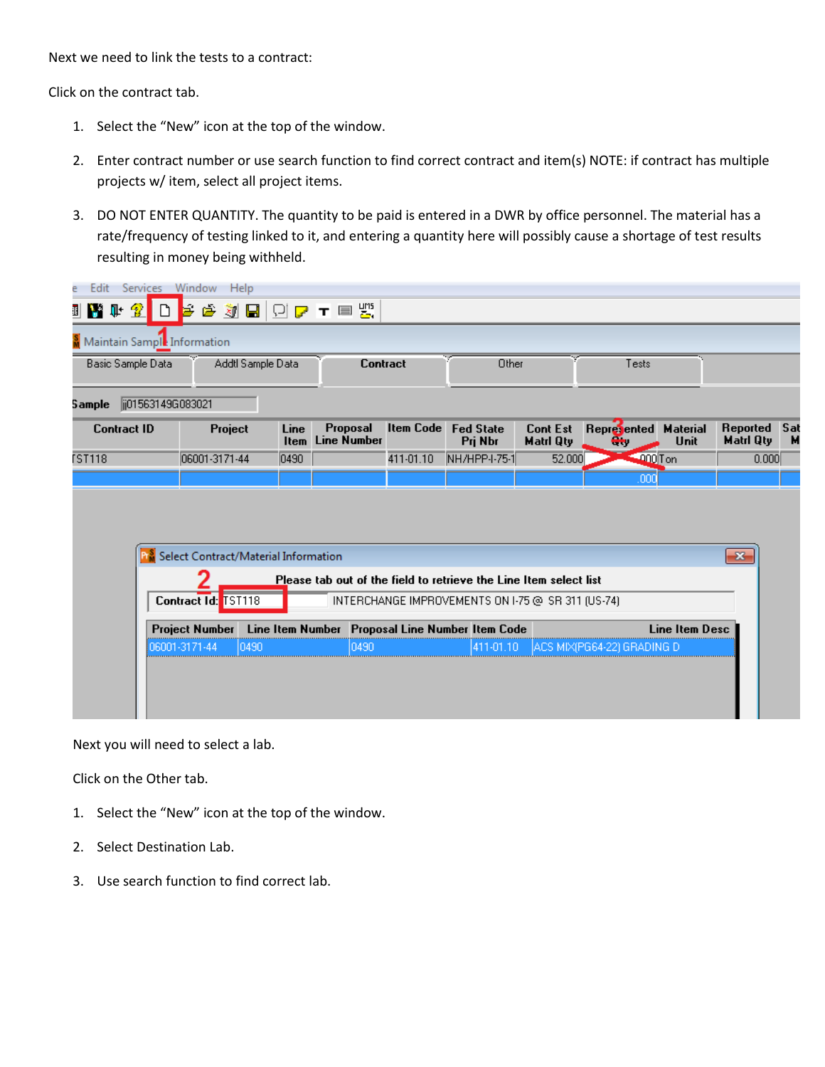Next we need to link the tests to a contract:

Click on the contract tab.

- 1. Select the "New" icon at the top of the window.
- 2. Enter contract number or use search function to find correct contract and item(s) NOTE: if contract has multiple projects w/ item, select all project items.
- 3. DO NOT ENTER QUANTITY. The quantity to be paid is entered in a DWR by office personnel. The material has a rate/frequency of testing linked to it, and entering a quantity here will possibly cause a shortage of test results resulting in money being withheld.

| Edit<br>ē               | Services Window Help                                       |                                |                                                                   |                  |                                                   |                                     |                             |                         |                       |          |
|-------------------------|------------------------------------------------------------|--------------------------------|-------------------------------------------------------------------|------------------|---------------------------------------------------|-------------------------------------|-----------------------------|-------------------------|-----------------------|----------|
| Y I 2<br>$\blacksquare$ | Ы                                                          | <b>@ JB Q アェ国盟</b>             |                                                                   |                  |                                                   |                                     |                             |                         |                       |          |
|                         | Maintain Sample Information                                |                                |                                                                   |                  |                                                   |                                     |                             |                         |                       |          |
| Basic Sample Data       |                                                            | Addtl Sample Data              | Contract                                                          |                  | Other                                             |                                     | Tests                       |                         |                       |          |
| 5 ample                 | ji01563149G083021                                          |                                |                                                                   |                  |                                                   |                                     |                             |                         |                       |          |
| <b>Contract ID</b>      |                                                            | Project<br>Line<br><b>Item</b> | <b>Proposal</b><br><b>Line Number</b>                             | <b>Item Code</b> | <b>Fed State</b><br>Pri Nbr                       | <b>Cont Est</b><br><b>Matri Qty</b> | Represented<br>┻.           | <b>Material</b><br>Unit | Reported<br>Matri Qty | Sal<br>M |
| <b>FST118</b>           | 06001-3171-44                                              | 0490                           |                                                                   | 411-01.10        | NH/HPP-I-75-1                                     | 52.000                              | $-000$ Ton                  |                         | 0.000                 |          |
|                         |                                                            |                                |                                                                   |                  |                                                   |                                     | ,000                        |                         |                       |          |
|                         | <b>P</b> <sup>8</sup> Select Contract/Material Information |                                |                                                                   |                  |                                                   |                                     |                             |                         | $\mathbf{x}$          |          |
|                         |                                                            |                                | Please tab out of the field to retrieve the Line Item select list |                  |                                                   |                                     |                             |                         |                       |          |
|                         | Contract Id: TST118                                        |                                |                                                                   |                  | INTERCHANGE IMPROVEMENTS ON I-75 @ SR 311 (US-74) |                                     |                             |                         |                       |          |
|                         | <b>Project Number</b>                                      |                                | Line Item Number Proposal Line Number Item Code                   |                  |                                                   |                                     |                             | <b>Line Item Desc</b>   |                       |          |
|                         | 06001-3171-44                                              | 0490                           | 0490                                                              |                  | 411-01.10                                         |                                     | JACS MIX(PG64-22) GRADING D |                         |                       |          |
|                         |                                                            |                                |                                                                   |                  |                                                   |                                     |                             |                         |                       |          |

Next you will need to select a lab.

Click on the Other tab.

- 1. Select the "New" icon at the top of the window.
- 2. Select Destination Lab.
- 3. Use search function to find correct lab.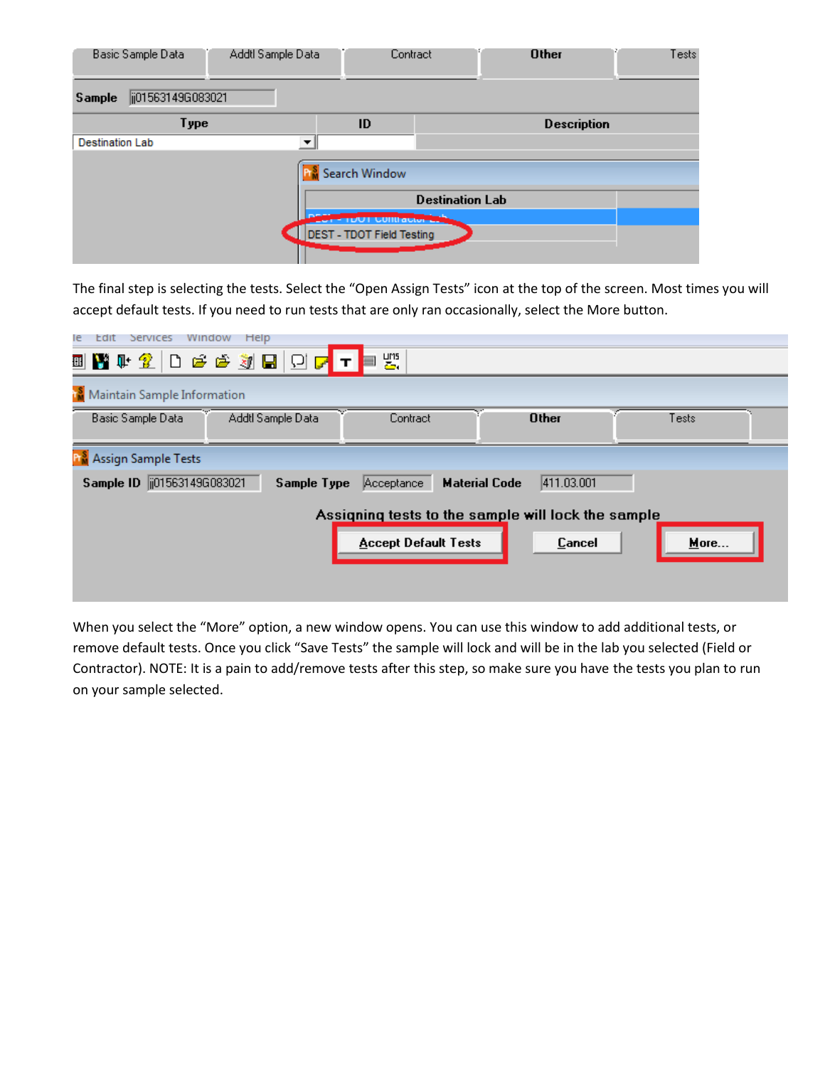|                        | Basic Sample Data | Addtl Sample Data    | Contract                         |                        | <b>Other</b>       | Tests |
|------------------------|-------------------|----------------------|----------------------------------|------------------------|--------------------|-------|
| Sample                 | ij01563149G083021 |                      |                                  |                        |                    |       |
|                        | Type              |                      | ID                               |                        | <b>Description</b> |       |
| <b>Destination Lab</b> |                   | $\blacktriangledown$ |                                  |                        |                    |       |
|                        |                   |                      | Search Window                    | <b>Destination Lab</b> |                    |       |
|                        |                   |                      | <b>CUILLACTOR</b>                |                        |                    |       |
|                        |                   |                      | <b>DEST - TDOT Field Testing</b> |                        |                    |       |

The final step is selecting the tests. Select the "Open Assign Tests" icon at the top of the screen. Most times you will accept default tests. If you need to run tests that are only ran occasionally, select the More button.

| Help<br>Window<br>le<br>Edit<br>Services   |                             |                                                    |       |
|--------------------------------------------|-----------------------------|----------------------------------------------------|-------|
| ▣▇\†2  D උඋඹ@  D  <mark>; ⊤ </mark> ≡ ₩    |                             |                                                    |       |
| <b>Maintain Sample Information</b>         |                             |                                                    |       |
| Addtl Sample Data<br>Basic Sample Data     | Contract                    | <b>Other</b>                                       | Tests |
| <b>R</b> Assign Sample Tests               |                             |                                                    |       |
| Sample ID   015631496083021<br>Sample Type | Acceptance                  | <b>Material Code</b><br>411.03.001                 |       |
|                                            |                             | Assigning tests to the sample will lock the sample |       |
|                                            | <b>Accept Default Tests</b> | Cancel                                             | More  |
|                                            |                             |                                                    |       |
|                                            |                             |                                                    |       |

When you select the "More" option, a new window opens. You can use this window to add additional tests, or remove default tests. Once you click "Save Tests" the sample will lock and will be in the lab you selected (Field or Contractor). NOTE: It is a pain to add/remove tests after this step, so make sure you have the tests you plan to run on your sample selected.